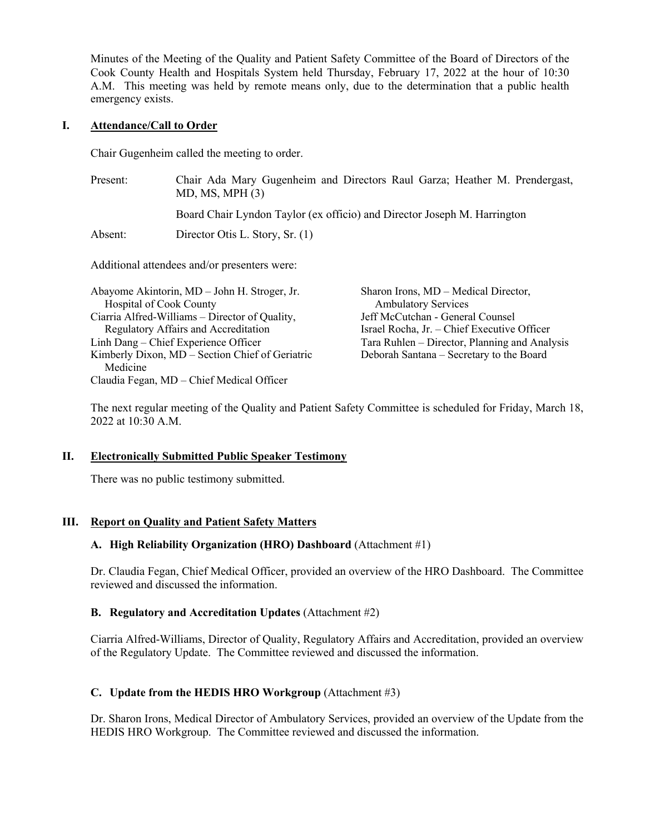Minutes of the Meeting of the Quality and Patient Safety Committee of the Board of Directors of the Cook County Health and Hospitals System held Thursday, February 17, 2022 at the hour of 10:30 A.M. This meeting was held by remote means only, due to the determination that a public health emergency exists.

## **I. Attendance/Call to Order**

Medicine

Chair Gugenheim called the meeting to order.

| Present:                                                                       | Chair Ada Mary Gugenheim and Directors Raul Garza; Heather M. Prendergast,<br>MD, MS, MPH (3) |                                                                    |
|--------------------------------------------------------------------------------|-----------------------------------------------------------------------------------------------|--------------------------------------------------------------------|
|                                                                                | Board Chair Lyndon Taylor (ex officio) and Director Joseph M. Harrington                      |                                                                    |
| Absent:                                                                        | Director Otis L. Story, Sr. (1)                                                               |                                                                    |
| Additional attendees and/or presenters were:                                   |                                                                                               |                                                                    |
| Abayome Akintorin, MD – John H. Stroger, Jr.<br><b>Hospital of Cook County</b> |                                                                                               | Sharon Irons, MD – Medical Director,<br><b>Ambulatory Services</b> |
| Ciarria Alfred-Williams – Director of Quality,                                 |                                                                                               | Jeff McCutchan - General Counsel                                   |
| Regulatory Affairs and Accreditation                                           |                                                                                               | Israel Rocha, Jr. - Chief Executive Officer                        |
| Linh Dang – Chief Experience Officer                                           |                                                                                               | Tara Ruhlen – Director, Planning and Analysis                      |
| Kimberly Dixon, MD – Section Chief of Geriatric                                |                                                                                               | Deborah Santana – Secretary to the Board                           |

Claudia Fegan, MD – Chief Medical Officer

The next regular meeting of the Quality and Patient Safety Committee is scheduled for Friday, March 18, 2022 at 10:30 A.M.

## **II. Electronically Submitted Public Speaker Testimony**

There was no public testimony submitted.

## **III. Report on Quality and Patient Safety Matters**

## **A. High Reliability Organization (HRO) Dashboard** (Attachment #1)

Dr. Claudia Fegan, Chief Medical Officer, provided an overview of the HRO Dashboard. The Committee reviewed and discussed the information.

## **B. Regulatory and Accreditation Updates** (Attachment #2)

Ciarria Alfred-Williams, Director of Quality, Regulatory Affairs and Accreditation, provided an overview of the Regulatory Update. The Committee reviewed and discussed the information.

# **C. Update from the HEDIS HRO Workgroup** (Attachment #3)

Dr. Sharon Irons, Medical Director of Ambulatory Services, provided an overview of the Update from the HEDIS HRO Workgroup. The Committee reviewed and discussed the information.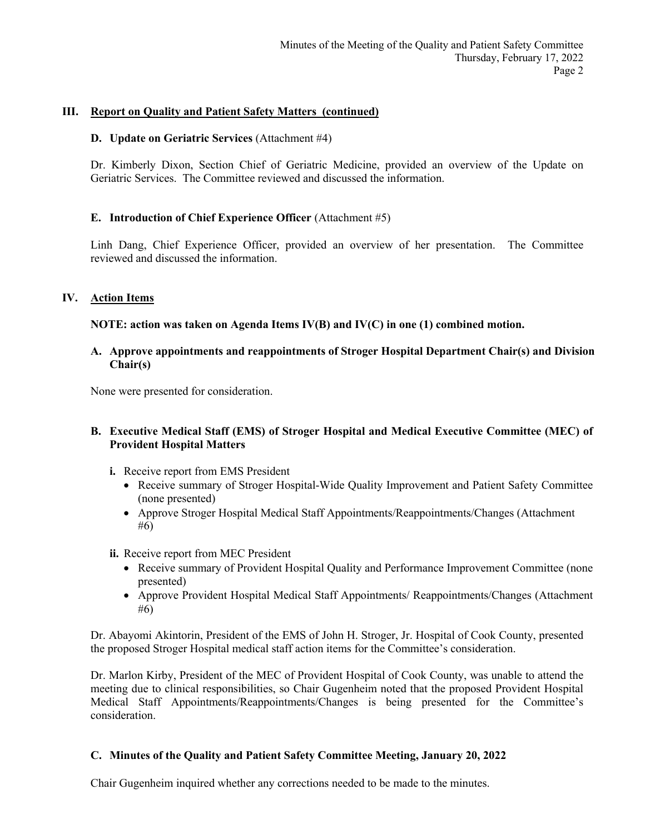## **III. Report on Quality and Patient Safety Matters (continued)**

#### **D. Update on Geriatric Services** (Attachment #4)

Dr. Kimberly Dixon, Section Chief of Geriatric Medicine, provided an overview of the Update on Geriatric Services. The Committee reviewed and discussed the information.

## **E. Introduction of Chief Experience Officer** (Attachment #5)

Linh Dang, Chief Experience Officer, provided an overview of her presentation. The Committee reviewed and discussed the information.

## **IV. Action Items**

**NOTE: action was taken on Agenda Items IV(B) and IV(C) in one (1) combined motion.**

## **A. Approve appointments and reappointments of Stroger Hospital Department Chair(s) and Division Chair(s)**

None were presented for consideration.

## **B. Executive Medical Staff (EMS) of Stroger Hospital and Medical Executive Committee (MEC) of Provident Hospital Matters**

- **i.** Receive report from EMS President
	- Receive summary of Stroger Hospital-Wide Quality Improvement and Patient Safety Committee (none presented)
	- Approve Stroger Hospital Medical Staff Appointments/Reappointments/Changes (Attachment #6)
- **ii.** Receive report from MEC President
	- Receive summary of Provident Hospital Quality and Performance Improvement Committee (none presented)
	- Approve Provident Hospital Medical Staff Appointments/ Reappointments/Changes (Attachment #6)

Dr. Abayomi Akintorin, President of the EMS of John H. Stroger, Jr. Hospital of Cook County, presented the proposed Stroger Hospital medical staff action items for the Committee's consideration.

Dr. Marlon Kirby, President of the MEC of Provident Hospital of Cook County, was unable to attend the meeting due to clinical responsibilities, so Chair Gugenheim noted that the proposed Provident Hospital Medical Staff Appointments/Reappointments/Changes is being presented for the Committee's consideration.

## **C. Minutes of the Quality and Patient Safety Committee Meeting, January 20, 2022**

Chair Gugenheim inquired whether any corrections needed to be made to the minutes.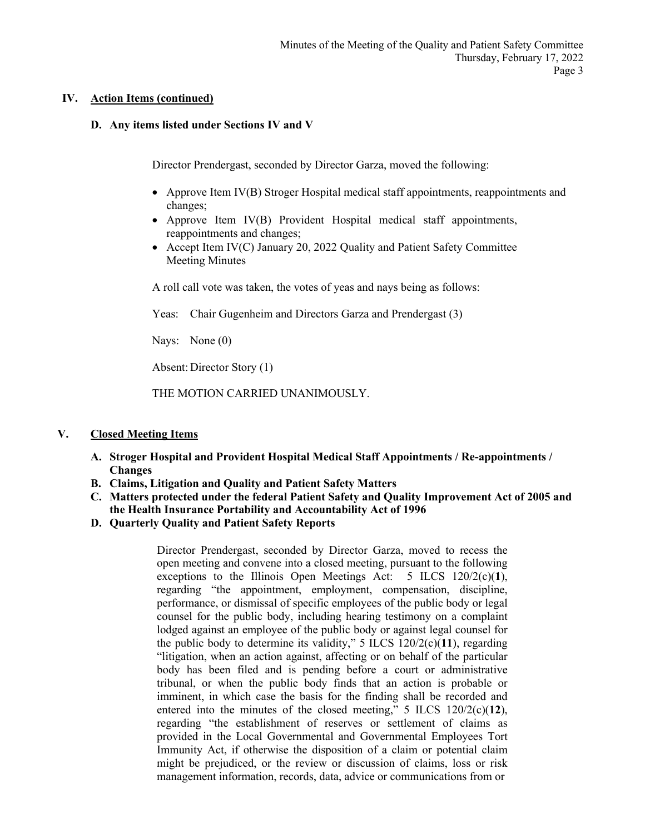## **IV. Action Items (continued)**

## **D. Any items listed under Sections IV and V**

Director Prendergast, seconded by Director Garza, moved the following:

- Approve Item IV(B) Stroger Hospital medical staff appointments, reappointments and changes;
- Approve Item IV(B) Provident Hospital medical staff appointments, reappointments and changes;
- Accept Item IV(C) January 20, 2022 Quality and Patient Safety Committee Meeting Minutes

A roll call vote was taken, the votes of yeas and nays being as follows:

Yeas: Chair Gugenheim and Directors Garza and Prendergast (3)

Nays: None (0)

Absent: Director Story (1)

THE MOTION CARRIED UNANIMOUSLY.

# **V. Closed Meeting Items**

- **A. Stroger Hospital and Provident Hospital Medical Staff Appointments / Re-appointments / Changes**
- **B. Claims, Litigation and Quality and Patient Safety Matters**
- **C. Matters protected under the federal Patient Safety and Quality Improvement Act of 2005 and the Health Insurance Portability and Accountability Act of 1996**
- **D. Quarterly Quality and Patient Safety Reports**

Director Prendergast, seconded by Director Garza, moved to recess the open meeting and convene into a closed meeting, pursuant to the following exceptions to the Illinois Open Meetings Act: 5 ILCS 120/2(c)(**1**), regarding "the appointment, employment, compensation, discipline, performance, or dismissal of specific employees of the public body or legal counsel for the public body, including hearing testimony on a complaint lodged against an employee of the public body or against legal counsel for the public body to determine its validity," 5 ILCS 120/2(c)(**11**), regarding "litigation, when an action against, affecting or on behalf of the particular body has been filed and is pending before a court or administrative tribunal, or when the public body finds that an action is probable or imminent, in which case the basis for the finding shall be recorded and entered into the minutes of the closed meeting," 5 ILCS 120/2(c)(**12**), regarding "the establishment of reserves or settlement of claims as provided in the Local Governmental and Governmental Employees Tort Immunity Act, if otherwise the disposition of a claim or potential claim might be prejudiced, or the review or discussion of claims, loss or risk management information, records, data, advice or communications from or